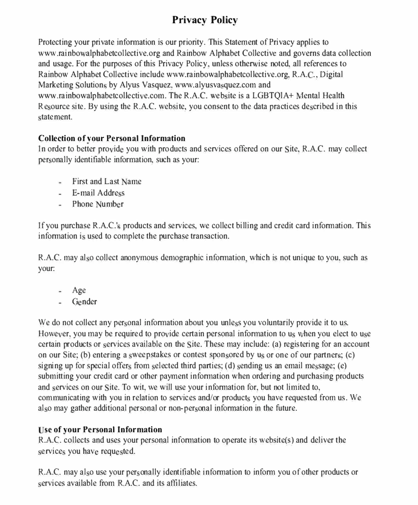# **Privacy Policy**

Protecting your private information is our priority. This Staternent of Privacy applies to www.rainbowalphabetcollective.org and Rainbow Alphabet Collective and governs data collection and usage. For the purposes of this Privacy Policy, unless otherwise noted, all references to Rainbow Alphabet Collective include www.rainbowalphabetcollective.org, R.A.C., Digital Marketing Solutions by Alyus Vasquez, www.alyusva quez.com and www.rainbowalphabetcollective.com. The R.A.C. website is a LGBTQIA+ Mental Health Resource site. By using the R.A.C. website, you consent to the data practices described in this statement.

## **Collection of vour Personal Information**

In order to better provide you with products and services offered on our Site, R.A.C. may collect per sonally identifiable information, such as your:

- First and Last Name
- $E$ -mail Address
- $-$  Phone Number

If you purchase R.A.C.'s products and services, we collect billing and credit card information. This information is used to complete the purchase transaction.

R.A.C. may also collect anonymous demographic information, which is not unique to you, such as your:

- $-$  Age
- Gender

We do not collect any personal information about you unless you voluntarily provide it to us. However, you may be required to provide certain personal information to us when you elect to use certain products or services available on the Site. These may include: (a) registering for an account on our Site; (b) entering a sweepstakes or contest sponsored by us or one of our partners; (c) signing up for special offers from selected third parties; (d) sending us an email message; (e) submitting your credit card or other payment information when ordering and purchasing products and services on our Site. To wit, we will use your information for, but not limited to, communicating with you in relation to services and/or products you have requested from us. We also may gather additional personal or non-personal information in the future.

# **se of your Personal Information**  "

R.A.C. collects and uses your personal information to operate its website(s) and deliver the services you have requested.

R.A.C. may also use your personally identifiable information to inform you of other products or crviccs available from R.A.C. and its affiliates.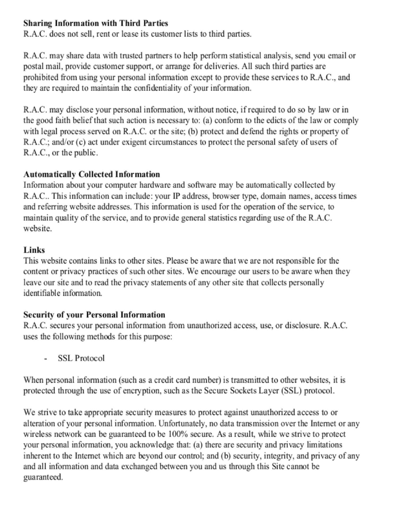### **Sharing Information with Third Parties**

R.A.C. does not sell, rent or lease its customer lists to third parties.

R.A.C. may share data with trusted partners to help perform statistical analysis, send you email or postal mail, provide customer support, or arrange for deliveries. All such third parties are prohibited from using your personal information except to provide these services to R.A.C., and they are required to maintain the confidentiality of your information.

R.A.C. may disclose your personal information, without notice, if required to do so by law or in the good faith belief that such action is necessary to: (a) conform to the edicts of the law or comply with legal process served on R.A.C. or the site; (b) protect and defend the rights or property of R.A.C.; and/or (c) act under exigent circumstances to protect the personal safety of users of R.A.C., or the public.

### **Automatically Collected Information**

Information about your computer hardware and software may be automatically collected by R.A.C., This information can include: your IP address, browser type, domain names, access times and referring website addresses. This information is used for the operation of the service, to maintain quality of the service, and to provide general statistics regarding use of the R.A.C. website.

## Links

This website contains links to other sites. Please be aware that we are not responsible for the content or privacy practices of such other sites. We encourage our users to be aware when they leave our site and to read the privacy statements of any other site that collects personally identifiable information.

## **Security of your Personal Information**

R.A.C. secures your personal information from unauthorized access, use, or disclosure. R.A.C. uses the following methods for this purpose:

 $\sim$ **SSL Protocol** 

When personal information (such as a credit card number) is transmitted to other websites, it is protected through the use of encryption, such as the Secure Sockets Layer (SSL) protocol.

We strive to take appropriate security measures to protect against unauthorized access to or alteration of your personal information. Unfortunately, no data transmission over the Internet or any wireless network can be guaranteed to be 100% secure. As a result, while we strive to protect your personal information, you acknowledge that: (a) there are security and privacy limitations inherent to the Internet which are beyond our control; and (b) security, integrity, and privacy of any and all information and data exchanged between you and us through this Site cannot be guaranteed.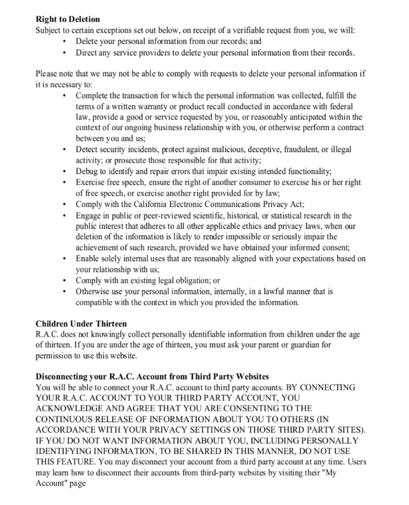### **Right to Deletion**

Subject to certain exceptions set out below, on receipt of a verifiable request from you, we will:

- Delete your personal information from our records; and  $\bullet$
- Direct any service providers to delete your personal information from their records.

Please note that we may not be able to comply with requests to delete your personal information if it is necessary to:

- Complete the transaction for which the personal information was collected, fulfill the  $\bullet$ terms of a written warranty or product recall conducted in accordance with federal law, provide a good or service requested by you, or reasonably anticipated within the context of our ongoing business relationship with you, or otherwise perform a contract between you and us;
- Detect security incidents, protect against malicious, deceptive, fraudulent, or illegal  $\bullet$ activity; or prosecute those responsible for that activity;
- Debug to identify and repair errors that impair existing intended functionality;  $\bullet$
- Exercise free speech, ensure the right of another consumer to exercise his or her right  $\bullet$ of free speech, or exercise another right provided for by law;
- Comply with the California Electronic Communications Privacy Act;  $\bullet$
- Engage in public or peer-reviewed scientific, historical, or statistical research in the  $\bullet$ public interest that adheres to all other applicable ethics and privacy laws, when our deletion of the information is likely to render impossible or seriously impair the achievement of such research, provided we have obtained your informed consent;
- Enable solely internal uses that are reasonably aligned with your expectations based on  $\bullet$ your relationship with us;
- Comply with an existing legal obligation; or
- Otherwise use your personal information, internally, in a lawful manner that is compatible with the context in which you provided the information.

## **Children Under Thirteen**

R.A.C. does not knowingly collect personally identifiable information from children under the age of thirteen. If you are under the age of thirteen, you must ask your parent or guardian for permission to use this website.

## Disconnecting your R.A.C. Account from Third Party Websites

You will be able to connect your R.A.C. account to third party accounts. BY CONNECTING YOUR R.A.C. ACCOUNT TO YOUR THIRD PARTY ACCOUNT, YOU ACKNOWLEDGE AND AGREE THAT YOU ARE CONSENTING TO THE CONTINUOUS RELEASE OF INFORMATION ABOUT YOU TO OTHERS (IN ACCORDANCE WITH YOUR PRIVACY SETTINGS ON THOSE THIRD PARTY SITES). IF YOU DO NOT WANT INFORMATION ABOUT YOU, INCLUDING PERSONALLY IDENTIFYING INFORMATION, TO BE SHARED IN THIS MANNER, DO NOT USE THIS FEATURE. You may disconnect your account from a third party account at any time. Users may learn how to disconnect their accounts from third-party websites by visiting their "My Account" page